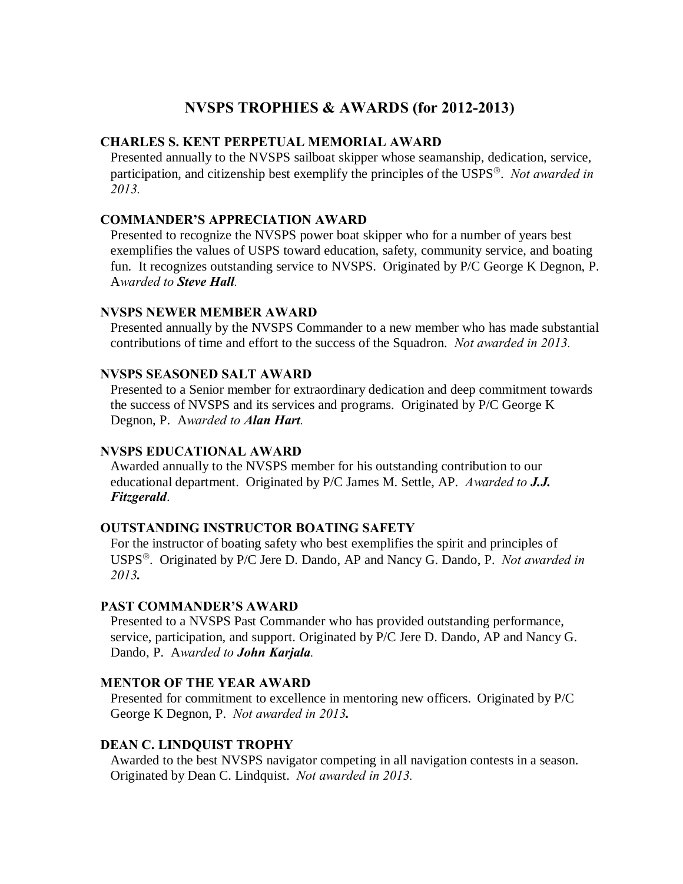# **NVSPS TROPHIES & AWARDS (for 2012-2013)**

## **CHARLES S. KENT PERPETUAL MEMORIAL AWARD**

Presented annually to the NVSPS sailboat skipper whose seamanship, dedication, service, participation, and citizenship best exemplify the principles of the USPS'. *Not awarded in 2013.*

#### **COMMANDER'S APPRECIATION AWARD**

Presented to recognize the NVSPS power boat skipper who for a number of years best exemplifies the values of USPS toward education, safety, community service, and boating fun. It recognizes outstanding service to NVSPS. Originated by P/C George K Degnon, P. A*warded to Steve Hall.*

#### **NVSPS NEWER MEMBER AWARD**

Presented annually by the NVSPS Commander to a new member who has made substantial contributions of time and effort to the success of the Squadron. *Not awarded in 2013.*

#### **NVSPS SEASONED SALT AWARD**

Presented to a Senior member for extraordinary dedication and deep commitment towards the success of NVSPS and its services and programs. Originated by P/C George K Degnon, P. A*warded to Alan Hart.*

#### **NVSPS EDUCATIONAL AWARD**

Awarded annually to the NVSPS member for his outstanding contribution to our educational department. Originated by P/C James M. Settle, AP. *Awarded to J.J. Fitzgerald*.

#### **OUTSTANDING INSTRUCTOR BOATING SAFETY**

For the instructor of boating safety who best exemplifies the spirit and principles of USPS'. Originated by P/C Jere D. Dando, AP and Nancy G. Dando, P. *Not awarded in 2013.*

#### **PAST COMMANDER'S AWARD**

Presented to a NVSPS Past Commander who has provided outstanding performance, service, participation, and support. Originated by P/C Jere D. Dando, AP and Nancy G. Dando, P. A*warded to John Karjala.*

## **MENTOR OF THE YEAR AWARD**

Presented for commitment to excellence in mentoring new officers. Originated by P/C George K Degnon, P. *Not awarded in 2013.*

## **DEAN C. LINDQUIST TROPHY**

Awarded to the best NVSPS navigator competing in all navigation contests in a season. Originated by Dean C. Lindquist. *Not awarded in 2013.*